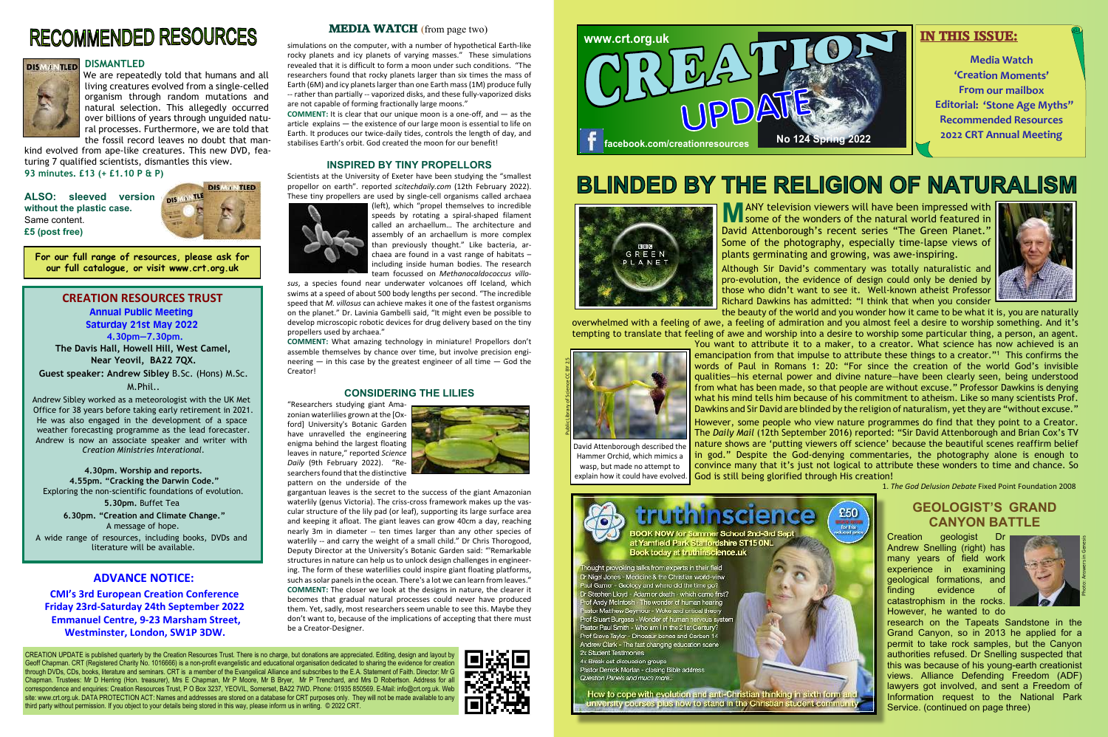**M** ANY television viewers will have been impressed with<br>some of the wonders of the natural world featured in some of the wonders of the natural world featured in David Attenborough's recent series "The Green Planet." Some of the photography, especially time-lapse views of plants germinating and growing, was awe-inspiring. Although Sir David's commentary was totally naturalistic and pro-evolution, the evidence of design could only be denied by those who didn't want to see it. Well-known atheist Professor Richard Dawkins has admitted: "I think that when you consider the beauty of the world and you wonder how it came to be what it is, you are naturally

overwhelmed with a feeling of awe, a feeling of admiration and you almost feel a desire to worship something. And it's tempting to translate that feeling of awe and worship into a desire to worship some particular thing, a person, an agent. You want to attribute it to a maker, to a creator. What science has now achieved is an emancipation from that impulse to attribute these things to a creator."<sup>1</sup> This confirms the words of Paul in Romans 1: 20: "For since the creation of the world God's invisible qualities—his eternal power and divine nature—have been clearly seen, being understood from what has been made, so that people are without excuse." Professor Dawkins is denying what his mind tells him because of his commitment to atheism. Like so many scientists Prof. Dawkins and Sir David are blinded by the religion of naturalism, yet they are "without excuse." CREATION RESOURCES TRUST<br>
About 370 properties the species of the case of the case of the case of the case of the case of the case of the case of the case of the case of the case of the case of the case of the case of the

ALSO: sleeved version <sub>pis</sub> **without the plastic case.** Same content. **£5 (post free)**



However, some people who view nature programmes do find that they point to a Creator. The *Daily Mail* (12th September 2016) reported: "Sir David Attenborough and Brian Cox's TV nature shows are 'putting viewers off science' because the beautiful scenes reaffirm belief in god." Despite the God-denying commentaries, the photography alone is enough to convince many that it's just not logical to attribute these wonders to time and chance. So God is still being glorified through His creation!

BOOK NOW for Summer School 2nd-3rd Sept at Yarnfield Park Staffordshire ST15 ONL Book today at truthinscience.uk

hought provoking talks from experts in their field Dr Nigel Jones - Medicine & the Christian world-view .<br>Paul Gamer - Goology and where did the time go?<br>In Stephen Lloyd - Adam or death - which came first? f Andy McIntosh - The wonder of human hearing stor Matthew Seymour - Woke and critical theory rof Stuart Burgess - Wonder of human nervous system Pastor Paul Smith - Who am I in the 21st Century? Prof Steve Taylor - Dinossur bones and Carbon 14 Andrew Clark - The fast changing education scene 2x Student Testimonies 4x Break out discussion groups Pastor Derrick Morlan - closing Bible address

Question Panels and much more...

How to cope with evolution and anti-Christian thinking in sixth form an university courses plus how to stand in the Christian student community

# **RECOMMENDED RESOURCES**



#### **DISMANTLED**

We are repeatedly told that humans and all living creatures evolved from a single-celled organism through random mutations and natural selection. This allegedly occurred over billions of years through unguided natural processes. Furthermore, we are told that the fossil record leaves no doubt that man-

kind evolved from ape-like creatures. This new DVD, featuring 7 qualified scientists, dismantles this view. **93 minutes. £13 (+ £1.10 P & P)**

simulations on the computer, with a number of hypothetical Earth-like rocky planets and icy planets of varying masses." These simulations revealed that it is difficult to form a moon under such conditions. "The researchers found that rocky planets larger than six times the mass of Earth (6M) and icy planets larger than one Earth mass (1M) produce fully -- rather than partially -- vaporized disks, and these fully-vaporized disks are not capable of forming fractionally large moons."

**COMMENT:** It is clear that our unique moon is a one-off, and — as the article explains — the existence of our large moon is essential to life on Earth. It produces our twice-daily tides, controls the length of day, and stabilises Earth's orbit. God created the moon for our benefit!

#### **INSPIRED BY TINY PROPELLORS**



Scientists at the University of Exeter have been studying the "smallest propellor on earth". reported *scitechdaily.com* (12th February 2022). These tiny propellers are used by single-cell organisms called archaea



(left), which "propel themselves to incredible speeds by rotating a spiral-shaped filament called an archaellum… The architecture and assembly of an archaellum is more complex than previously thought." Like bacteria, archaea are found in a vast range of habitats – including inside human bodies. The research team focussed on *Methanocaldococcus villo-*

*sus*, a species found near underwater volcanoes off Iceland, which swims at a speed of about 500 body lengths per second. "The incredible speed that *M. villosus* can achieve makes it one of the fastest organisms on the planet." Dr. Lavinia Gambelli said, "It might even be possible to develop microscopic robotic devices for drug delivery based on the tiny propellers used by archaea."

## **CANYON BATTLE GEOLOGIST'S GRAND**

**COMMENT:** What amazing technology in miniature! Propellors don't assemble themselves by chance over time, but involve precision engineering  $-$  in this case by the greatest engineer of all time  $-$  God the Creator!

#### **CONSIDERING THE LILIES**

"Researchers studying giant Amazonian waterlilies grown at the [Oxford] University's Botanic Garden have unravelled the engineering enigma behind the largest floating leaves in nature," reported *Science Daily* (9th February 2022). "Researchers found that the distinctive pattern on the underside of the



gargantuan leaves is the secret to the success of the giant Amazonian waterlily (genus Victoria). The criss-cross framework makes up the vascular structure of the lily pad (or leaf), supporting its large surface area and keeping it afloat. The giant leaves can grow 40cm a day, reaching nearly 3m in diameter -- ten times larger than any other species of waterlily -- and carry the weight of a small child." Dr Chris Thorogood, Deputy Director at the University's Botanic Garden said: "'Remarkable structures in nature can help us to unlock design challenges in engineering. The form of these waterlilies could inspire giant floating platforms, such as solar panels in the ocean. There's a lot we can learn from leaves." **COMMENT:** The closer we look at the designs in nature, the clearer it becomes that gradual natural processes could never have produced them. Yet, sadly, most researchers seem unable to see this. Maybe they don't want to, because of the implications of accepting that there must be a Creator-Designer.

CREATION UPDATE is published quarterly by the Creation Resources Trust. There is no charge, but donations are appreciated. Editing, design and layout by Geoff Chapman. CRT (Registered Charity No. 1016666) is a non-profit evangelistic and educational organisation dedicated to sharing the evidence for creation through DVDs, CDs, books, literature and seminars. CRT is a member of the Evangelical Alliance and subscribes to the E.A. Statement of Faith. Director: Mr G Chapman. Trustees: Mr D Herring (Hon. treasurer), Mrs E Chapman, Mr P Moore, Mr B Bryer, Mr P Trenchard, and Mrs D Robertson. Address for all correspondence and enquiries: Creation Resources Trust, P O Box 3237, YEOVIL, Somerset, BA22 7WD. Phone: 01935 850569. E-Mail: info@crt.org.uk. Web site: www.crt.org.uk. DATA PROTECTION ACT: Names and addresses are stored on a database for CRT purposes only. They will not be made available to any third party without permission. If you object to your details being stored in this way, please inform us in writing. © 2022 CRT.



# **BLINDED BY THE RELIGION OF NATURALISM**



**For our full range of resources, please ask for our full catalogue, or visit www.crt.org.uk**

**Annual Public Meeting Saturday 21st May 2022**

**4.30pm—7.30pm.**

**The Davis Hall, Howell Hill, West Camel, Near Yeovil, BA22 7QX.**

**Guest speaker: Andrew Sibley** B.Sc. (Hons) M.Sc. M.Phil..

Andrew Sibley worked as a meteorologist with the UK Met Office for 38 years before taking early retirement in 2021. He was also engaged in the development of a space weather forecasting programme as the lead forecaster. Andrew is now an associate speaker and writer with *Creation Ministries Interational.*

**4.30pm. Worship and reports. 4.55pm. "Cracking the Darwin Code."** Exploring the non-scientific foundations of evolution. **5.30pm.** Buffet Tea **6.30pm. "Creation and Climate Change."**

A message of hope. A wide range of resources, including books, DVDs and literature will be available.

1. *The God Delusion Debate* Fixed Point Foundation 2008



David Attenborough described the Hammer Orchid, which mimics a wasp, but made no attempt to explain how it could have evolved.



## **ADVANCE NOTICE:**

**CMI's 3rd European Creation Conference Friday 23rd-Saturday 24th September 2022 Emmanuel Centre, 9-23 Marsham Street, Westminster, London, SW1P 3DW.**

#### **MEDIA WATCH** (from page two)

Creation geologist Dr Andrew Snelling (right) has many years of field work experience in examining geological formations, and finding evidence of catastrophism in the rocks. However, he wanted to do

research on the Tapeats Sandstone in the Grand Canyon, so in 2013 he applied for a permit to take rock samples, but the Canyon authorities refused. Dr Snelling suspected that this was because of his young-earth creationist views. Alliance Defending Freedom (ADF) lawyers got involved, and sent a Freedom of Information request to the National Park Service. (continued on page three)